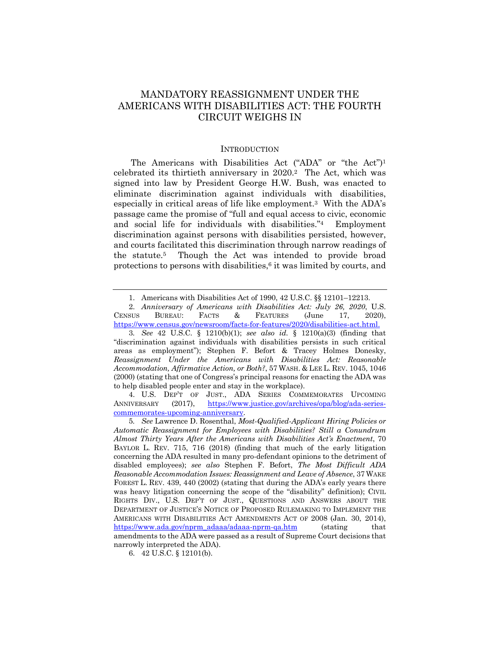# MANDATORY REASSIGNMENT UNDER THE AMERICANS WITH DISABILITIES ACT: THE FOURTH CIRCUIT WEIGHS IN

#### **INTRODUCTION**

The Americans with Disabilities Act ("ADA" or "the Act")1 celebrated its thirtieth anniversary in 2020.2 The Act, which was signed into law by President George H.W. Bush, was enacted to eliminate discrimination against individuals with disabilities, especially in critical areas of life like employment.3 With the ADA's passage came the promise of "full and equal access to civic, economic and social life for individuals with disabilities."4 Employment discrimination against persons with disabilities persisted, however, and courts facilitated this discrimination through narrow readings of the statute.5 Though the Act was intended to provide broad protections to persons with disabilities, $6$  it was limited by courts, and

2. *Anniversary of Americans with Disabilities Act: July 26, 2020*, U.S. CENSUS BUREAU: FACTS & FEATURES (June 17, 2020), https://www.census.gov/newsroom/facts-for-features/2020/disabilities-act.html.

3*. See* 42 U.S.C. § 1210(b)(1); *see also id.* § 1210(a)(3) (finding that "discrimination against individuals with disabilities persists in such critical areas as employment"); Stephen F. Befort & Tracey Holmes Donesky, *Reassignment Under the Americans with Disabilities Act: Reasonable Accommodation, Affirmative Action, or Both?*, 57 WASH. & LEE L. REV. 1045, 1046 (2000) (stating that one of Congress's principal reasons for enacting the ADA was to help disabled people enter and stay in the workplace).

4. U.S. DEP'T OF JUST., ADA SERIES COMMEMORATES UPCOMING ANNIVERSARY (2017), https://www.justice.gov/archives/opa/blog/ada-seriescommemorates-upcoming-anniversary.

6. 42 U.S.C. § 12101(b).

<sup>1.</sup> Americans with Disabilities Act of 1990, 42 U.S.C. §§ 12101–12213.

<sup>5</sup>*. See* Lawrence D. Rosenthal, *Most-Qualified-Applicant Hiring Policies or Automatic Reassignment for Employees with Disabilities? Still a Conundrum Almost Thirty Years After the Americans with Disabilities Act's Enactment*, 70 BAYLOR L. REV. 715, 716 (2018) (finding that much of the early litigation concerning the ADA resulted in many pro-defendant opinions to the detriment of disabled employees); *see also* Stephen F. Befort, *The Most Difficult ADA Reasonable Accommodation Issues: Reassignment and Leave of Absence*, 37 WAKE FOREST L. REV. 439, 440 (2002) (stating that during the ADA's early years there was heavy litigation concerning the scope of the "disability" definition); CIVIL RIGHTS DIV., U.S. DEP'T OF JUST., QUESTIONS AND ANSWERS ABOUT THE DEPARTMENT OF JUSTICE'S NOTICE OF PROPOSED RULEMAKING TO IMPLEMENT THE AMERICANS WITH DISABILITIES ACT AMENDMENTS ACT OF 2008 (Jan. 30, 2014), https://www.ada.gov/nprm\_adaaa/adaaa-nprm-qa.htm (stating that amendments to the ADA were passed as a result of Supreme Court decisions that narrowly interpreted the ADA).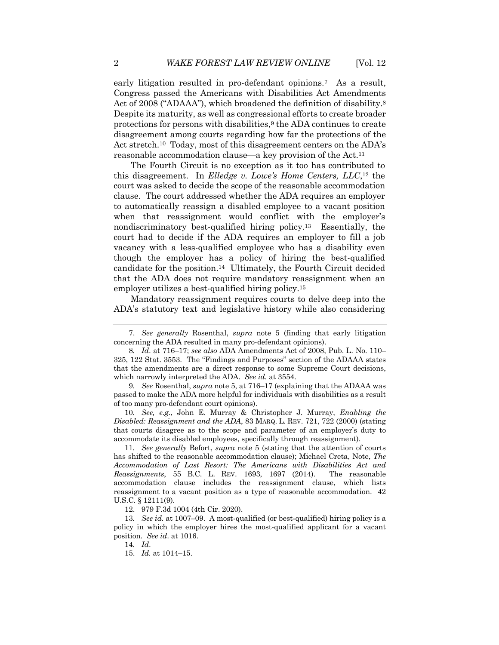early litigation resulted in pro-defendant opinions.7 As a result, Congress passed the Americans with Disabilities Act Amendments Act of 2008 ("ADAAA"), which broadened the definition of disability.<sup>8</sup> Despite its maturity, as well as congressional efforts to create broader protections for persons with disabilities,<sup>9</sup> the ADA continues to create disagreement among courts regarding how far the protections of the Act stretch.<sup>10</sup> Today, most of this disagreement centers on the ADA's reasonable accommodation clause—a key provision of the Act.11

The Fourth Circuit is no exception as it too has contributed to this disagreement. In *Elledge v. Lowe's Home Centers, LLC*,12 the court was asked to decide the scope of the reasonable accommodation clause. The court addressed whether the ADA requires an employer to automatically reassign a disabled employee to a vacant position when that reassignment would conflict with the employer's nondiscriminatory best-qualified hiring policy.13 Essentially, the court had to decide if the ADA requires an employer to fill a job vacancy with a less-qualified employee who has a disability even though the employer has a policy of hiring the best-qualified candidate for the position.14 Ultimately, the Fourth Circuit decided that the ADA does not require mandatory reassignment when an employer utilizes a best-qualified hiring policy.15

Mandatory reassignment requires courts to delve deep into the ADA's statutory text and legislative history while also considering

9*. See* Rosenthal, *supra* note 5, at 716–17 (explaining that the ADAAA was passed to make the ADA more helpful for individuals with disabilities as a result of too many pro-defendant court opinions).

10*. See, e.g.*, John E. Murray & Christopher J. Murray, *Enabling the Disabled: Reassignment and the ADA*, 83 MARQ. L. REV. 721, 722 (2000) (stating that courts disagree as to the scope and parameter of an employer's duty to accommodate its disabled employees, specifically through reassignment).

11*. See generally* Befort, *supra* note 5 (stating that the attention of courts has shifted to the reasonable accommodation clause); Michael Creta, Note, *The Accommodation of Last Resort: The Americans with Disabilities Act and Reassignments*, 55 B.C. L. REV. 1693, 1697 (2014). The reasonable accommodation clause includes the reassignment clause, which lists reassignment to a vacant position as a type of reasonable accommodation. 42 U.S.C. § 12111(9).

12. 979 F.3d 1004 (4th Cir. 2020).

13*. See id.* at 1007–09. A most-qualified (or best-qualified) hiring policy is a policy in which the employer hires the most-qualified applicant for a vacant position. *See id*. at 1016.

14*. Id*.

15. *Id.* at 1014–15.

<sup>7.</sup> *See generally* Rosenthal, *supra* note 5 (finding that early litigation concerning the ADA resulted in many pro-defendant opinions).

<sup>8</sup>*. Id*. at 716–17; *see also* ADA Amendments Act of 2008, Pub. L. No. 110– 325, 122 Stat. 3553. The "Findings and Purposes" section of the ADAAA states that the amendments are a direct response to some Supreme Court decisions, which narrowly interpreted the ADA. *See id.* at 3554.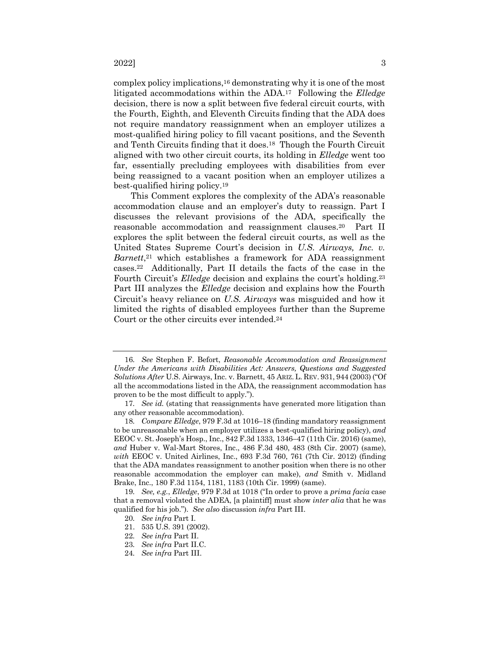complex policy implications,16 demonstrating why it is one of the most litigated accommodations within the ADA.17 Following the *Elledge* decision, there is now a split between five federal circuit courts, with the Fourth, Eighth, and Eleventh Circuits finding that the ADA does not require mandatory reassignment when an employer utilizes a most-qualified hiring policy to fill vacant positions, and the Seventh and Tenth Circuits finding that it does.18 Though the Fourth Circuit aligned with two other circuit courts, its holding in *Elledge* went too far, essentially precluding employees with disabilities from ever being reassigned to a vacant position when an employer utilizes a best-qualified hiring policy.19

This Comment explores the complexity of the ADA's reasonable accommodation clause and an employer's duty to reassign. Part I discusses the relevant provisions of the ADA, specifically the reasonable accommodation and reassignment clauses.20 Part II explores the split between the federal circuit courts, as well as the United States Supreme Court's decision in *U.S. Airways, Inc. v. Barnett*,<sup>21</sup> which establishes a framework for ADA reassignment cases.22 Additionally, Part II details the facts of the case in the Fourth Circuit's *Elledge* decision and explains the court's holding.23 Part III analyzes the *Elledge* decision and explains how the Fourth Circuit's heavy reliance on *U.S. Airways* was misguided and how it limited the rights of disabled employees further than the Supreme Court or the other circuits ever intended.24

- 20*. See infra* Part I.
- 21. 535 U.S. 391 (2002).
- 22*. See infra* Part II.
- 23*. See infra* Part II.C.
- 24*. See infra* Part III.

<sup>16</sup>*. See* Stephen F. Befort, *Reasonable Accommodation and Reassignment Under the Americans with Disabilities Act: Answers, Questions and Suggested Solutions After* U.S. Airways, Inc. v. Barnett, 45 ARIZ. L. REV. 931, 944 (2003) ("Of all the accommodations listed in the ADA, the reassignment accommodation has proven to be the most difficult to apply.").

<sup>17</sup>*. See id.* (stating that reassignments have generated more litigation than any other reasonable accommodation).

<sup>18</sup>*. Compare Elledge*, 979 F.3d at 1016–18 (finding mandatory reassignment to be unreasonable when an employer utilizes a best-qualified hiring policy), *and* EEOC v. St. Joseph's Hosp., Inc., 842 F.3d 1333, 1346–47 (11th Cir. 2016) (same), *and* Huber v. Wal-Mart Stores, Inc., 486 F.3d 480, 483 (8th Cir. 2007) (same), *with* EEOC v. United Airlines, Inc., 693 F.3d 760, 761 (7th Cir. 2012) (finding that the ADA mandates reassignment to another position when there is no other reasonable accommodation the employer can make), *and* Smith v. Midland Brake, Inc., 180 F.3d 1154, 1181, 1183 (10th Cir. 1999) (same).

<sup>19</sup>*. See, e.g.*, *Elledge*, 979 F.3d at 1018 ("In order to prove a *prima facia* case that a removal violated the ADEA, [a plaintiff] must show *inter alia* that he was qualified for his job."). *See also* discussion *infra* Part III.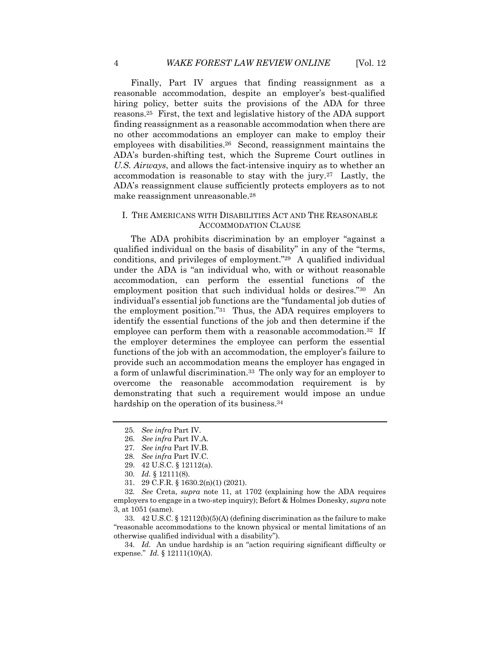Finally, Part IV argues that finding reassignment as a reasonable accommodation, despite an employer's best-qualified hiring policy, better suits the provisions of the ADA for three reasons.25 First, the text and legislative history of the ADA support finding reassignment as a reasonable accommodation when there are no other accommodations an employer can make to employ their employees with disabilities.26 Second, reassignment maintains the ADA's burden-shifting test, which the Supreme Court outlines in *U.S. Airways*, and allows the fact-intensive inquiry as to whether an accommodation is reasonable to stay with the jury.27 Lastly, the ADA's reassignment clause sufficiently protects employers as to not make reassignment unreasonable.28

## I. THE AMERICANS WITH DISABILITIES ACT AND THE REASONABLE ACCOMMODATION CLAUSE

The ADA prohibits discrimination by an employer "against a qualified individual on the basis of disability" in any of the "terms, conditions, and privileges of employment."29 A qualified individual under the ADA is "an individual who, with or without reasonable accommodation, can perform the essential functions of the employment position that such individual holds or desires."30 An individual's essential job functions are the "fundamental job duties of the employment position."31 Thus, the ADA requires employers to identify the essential functions of the job and then determine if the employee can perform them with a reasonable accommodation.<sup>32</sup> If the employer determines the employee can perform the essential functions of the job with an accommodation, the employer's failure to provide such an accommodation means the employer has engaged in a form of unlawful discrimination.33 The only way for an employer to overcome the reasonable accommodation requirement is by demonstrating that such a requirement would impose an undue hardship on the operation of its business.<sup>34</sup>

33. 42 U.S.C. § 12112(b)(5)(A) (defining discrimination as the failure to make "reasonable accommodations to the known physical or mental limitations of an otherwise qualified individual with a disability").

<sup>25</sup>*. See infra* Part IV.

<sup>26</sup>*. See infra* Part IV.A.

<sup>27</sup>*. See infra* Part IV.B.

<sup>28</sup>*. See infra* Part IV.C.

<sup>29.</sup> 42 U.S.C. § 12112(a).

<sup>30</sup>*. Id.* § 12111(8).

<sup>31.</sup> 29 C.F.R. § 1630.2(n)(1) (2021).

<sup>32</sup>*. See* Creta, *supra* note 11, at 1702 (explaining how the ADA requires employers to engage in a two-step inquiry); Befort & Holmes Donesky, *supra* note 3, at 1051 (same).

<sup>34</sup>*. Id.* An undue hardship is an "action requiring significant difficulty or expense." *Id.* § 12111(10)(A).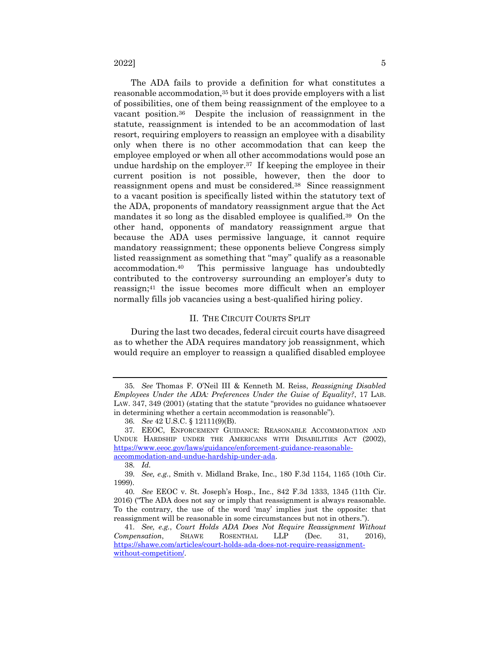$2022$ ]  $5$ 

The ADA fails to provide a definition for what constitutes a reasonable accommodation,<sup>35</sup> but it does provide employers with a list of possibilities, one of them being reassignment of the employee to a vacant position.36 Despite the inclusion of reassignment in the statute, reassignment is intended to be an accommodation of last resort, requiring employers to reassign an employee with a disability only when there is no other accommodation that can keep the employee employed or when all other accommodations would pose an undue hardship on the employer.37 If keeping the employee in their current position is not possible, however, then the door to reassignment opens and must be considered.38 Since reassignment to a vacant position is specifically listed within the statutory text of the ADA, proponents of mandatory reassignment argue that the Act mandates it so long as the disabled employee is qualified.39 On the other hand, opponents of mandatory reassignment argue that because the ADA uses permissive language, it cannot require mandatory reassignment; these opponents believe Congress simply listed reassignment as something that "may" qualify as a reasonable accommodation.40 This permissive language has undoubtedly contributed to the controversy surrounding an employer's duty to reassign;41 the issue becomes more difficult when an employer normally fills job vacancies using a best-qualified hiring policy.

### II. THE CIRCUIT COURTS SPLIT

During the last two decades, federal circuit courts have disagreed as to whether the ADA requires mandatory job reassignment, which would require an employer to reassign a qualified disabled employee

38*. Id.*

<sup>35</sup>*. See* Thomas F. O'Neil III & Kenneth M. Reiss, *Reassigning Disabled Employees Under the ADA: Preferences Under the Guise of Equality?*, 17 LAB. LAW. 347, 349 (2001) (stating that the statute "provides no guidance whatsoever in determining whether a certain accommodation is reasonable").

<sup>36</sup>*. See* 42 U.S.C. § 12111(9)(B).

<sup>37</sup>*.* EEOC, ENFORCEMENT GUIDANCE: REASONABLE ACCOMMODATION AND UNDUE HARDSHIP UNDER THE AMERICANS WITH DISABILITIES ACT (2002), https://www.eeoc.gov/laws/guidance/enforcement-guidance-reasonableaccommodation-and-undue-hardship-under-ada.

<sup>39</sup>*. See, e.g.*, Smith v. Midland Brake, Inc., 180 F.3d 1154, 1165 (10th Cir. 1999).

<sup>40</sup>*. See* EEOC v. St. Joseph's Hosp., Inc., 842 F.3d 1333, 1345 (11th Cir. 2016) ("The ADA does not say or imply that reassignment is always reasonable. To the contrary, the use of the word 'may' implies just the opposite: that reassignment will be reasonable in some circumstances but not in others.").

<sup>41</sup>*. See, e.g.*, *Court Holds ADA Does Not Require Reassignment Without Compensation*, SHAWE ROSENTHAL LLP (Dec. 31, 2016), https://shawe.com/articles/court-holds-ada-does-not-require-reassignmentwithout-competition/.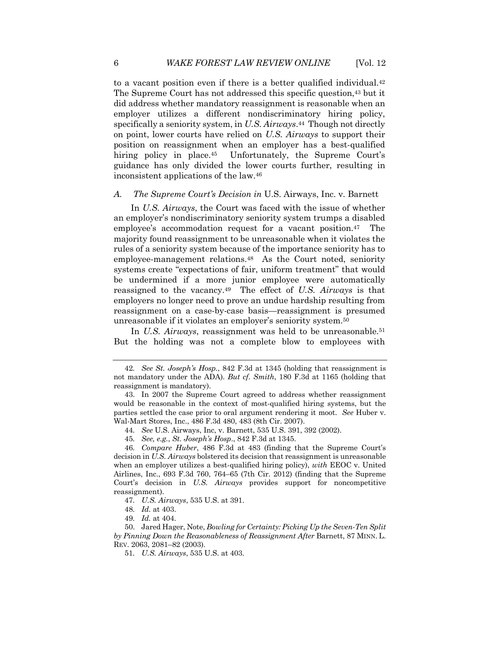to a vacant position even if there is a better qualified individual.42 The Supreme Court has not addressed this specific question,<sup>43</sup> but it did address whether mandatory reassignment is reasonable when an employer utilizes a different nondiscriminatory hiring policy, specifically a seniority system, in *U.S. Airways*.44 Though not directly on point, lower courts have relied on *U.S. Airways* to support their position on reassignment when an employer has a best-qualified hiring policy in place.<sup>45</sup> Unfortunately, the Supreme Court's guidance has only divided the lower courts further, resulting in inconsistent applications of the law.46

# *A. The Supreme Court's Decision in* U.S. Airways, Inc. v. Barnett

In *U.S. Airways*, the Court was faced with the issue of whether an employer's nondiscriminatory seniority system trumps a disabled employee's accommodation request for a vacant position.47 The majority found reassignment to be unreasonable when it violates the rules of a seniority system because of the importance seniority has to employee-management relations.<sup>48</sup> As the Court noted, seniority systems create "expectations of fair, uniform treatment" that would be undermined if a more junior employee were automatically reassigned to the vacancy.49 The effect of *U.S. Airways* is that employers no longer need to prove an undue hardship resulting from reassignment on a case-by-case basis—reassignment is presumed unreasonable if it violates an employer's seniority system.50

In *U.S. Airways*, reassignment was held to be unreasonable.<sup>51</sup> But the holding was not a complete blow to employees with

<sup>42</sup>*. See St. Joseph's Hosp.*, 842 F.3d at 1345 (holding that reassignment is not mandatory under the ADA). *But cf. Smith*, 180 F.3d at 1165 (holding that reassignment is mandatory).

<sup>43.</sup> In 2007 the Supreme Court agreed to address whether reassignment would be reasonable in the context of most-qualified hiring systems, but the parties settled the case prior to oral argument rendering it moot. *See* Huber v. Wal-Mart Stores, Inc., 486 F.3d 480, 483 (8th Cir. 2007).

<sup>44</sup>*. See* U.S. Airways, Inc, v. Barnett, 535 U.S. 391, 392 (2002).

<sup>45</sup>*. See, e.g.*, *St. Joseph's Hosp*., 842 F.3d at 1345.

<sup>46</sup>*. Compare Huber*, 486 F.3d at 483 (finding that the Supreme Court's decision in *U.S. Airways* bolstered its decision that reassignment is unreasonable when an employer utilizes a best-qualified hiring policy), *with* EEOC v. United Airlines, Inc., 693 F.3d 760, 764–65 (7th Cir. 2012) (finding that the Supreme Court's decision in *U.S. Airways* provides support for noncompetitive reassignment).

<sup>47</sup>*. U.S. Airways*, 535 U.S. at 391.

<sup>48</sup>*. Id.* at 403.

<sup>49</sup>*. Id.* at 404.

<sup>50.</sup> Jared Hager, Note, *Bowling for Certainty: Picking Up the Seven-Ten Split by Pinning Down the Reasonableness of Reassignment After* Barnett, 87 MINN. L. REV. 2063, 2081–82 (2003).

<sup>51</sup>*. U.S. Airways*, 535 U.S. at 403.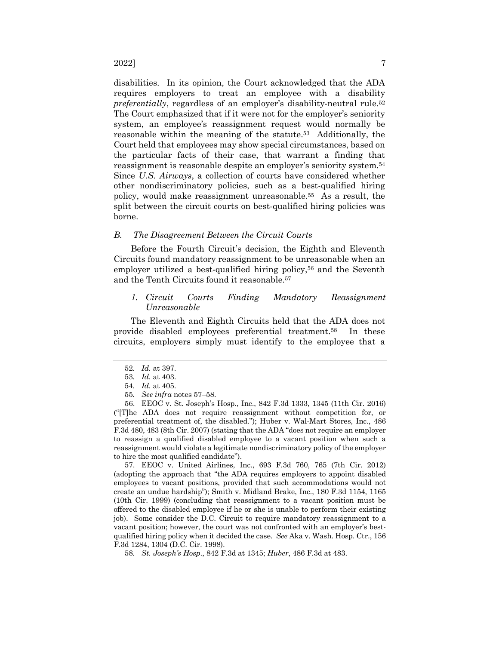disabilities. In its opinion, the Court acknowledged that the ADA requires employers to treat an employee with a disability *preferentially*, regardless of an employer's disability-neutral rule.<sup>52</sup> The Court emphasized that if it were not for the employer's seniority system, an employee's reassignment request would normally be reasonable within the meaning of the statute.53 Additionally, the Court held that employees may show special circumstances, based on the particular facts of their case, that warrant a finding that reassignment is reasonable despite an employer's seniority system.54 Since *U.S. Airways*, a collection of courts have considered whether other nondiscriminatory policies, such as a best-qualified hiring policy, would make reassignment unreasonable.55 As a result, the split between the circuit courts on best-qualified hiring policies was borne.

#### *B. The Disagreement Between the Circuit Courts*

Before the Fourth Circuit's decision, the Eighth and Eleventh Circuits found mandatory reassignment to be unreasonable when an employer utilized a best-qualified hiring policy,<sup>56</sup> and the Seventh and the Tenth Circuits found it reasonable.57

# *1. Circuit Courts Finding Mandatory Reassignment Unreasonable*

The Eleventh and Eighth Circuits held that the ADA does not provide disabled employees preferential treatment.58 In these circuits, employers simply must identify to the employee that a

57. EEOC v. United Airlines, Inc., 693 F.3d 760, 765 (7th Cir. 2012) (adopting the approach that "the ADA requires employers to appoint disabled employees to vacant positions, provided that such accommodations would not create an undue hardship"); Smith v. Midland Brake, Inc., 180 F.3d 1154, 1165 (10th Cir. 1999) (concluding that reassignment to a vacant position must be offered to the disabled employee if he or she is unable to perform their existing job). Some consider the D.C. Circuit to require mandatory reassignment to a vacant position; however, the court was not confronted with an employer's bestqualified hiring policy when it decided the case. *See* Aka v. Wash. Hosp. Ctr., 156 F.3d 1284, 1304 (D.C. Cir. 1998).

58*. St. Joseph's Hosp*., 842 F.3d at 1345; *Huber*, 486 F.3d at 483.

<sup>52</sup>*. Id.* at 397.

<sup>53</sup>*. Id.* at 403.

<sup>54</sup>*. Id.* at 405.

<sup>55</sup>*. See infra* notes 57–58.

<sup>56.</sup> EEOC v. St. Joseph's Hosp., Inc., 842 F.3d 1333, 1345 (11th Cir. 2016) ("[T]he ADA does not require reassignment without competition for, or preferential treatment of, the disabled."); Huber v. Wal-Mart Stores, Inc., 486 F.3d 480, 483 (8th Cir. 2007) (stating that the ADA "does not require an employer to reassign a qualified disabled employee to a vacant position when such a reassignment would violate a legitimate nondiscriminatory policy of the employer to hire the most qualified candidate").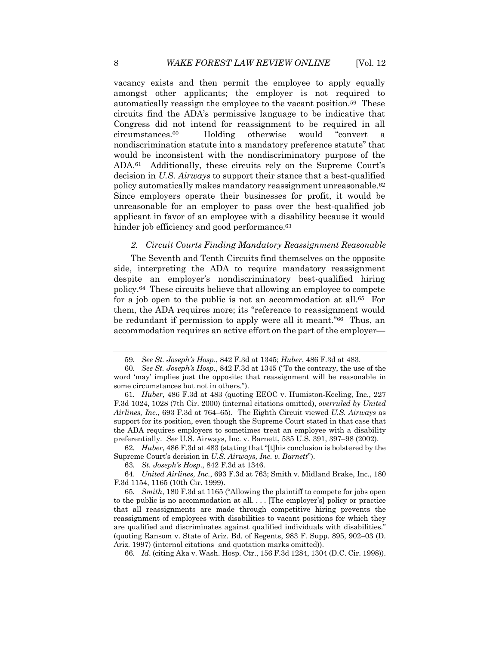vacancy exists and then permit the employee to apply equally amongst other applicants; the employer is not required to automatically reassign the employee to the vacant position.59 These circuits find the ADA's permissive language to be indicative that Congress did not intend for reassignment to be required in all circumstances.60 Holding otherwise would "convert a nondiscrimination statute into a mandatory preference statute" that would be inconsistent with the nondiscriminatory purpose of the ADA.61 Additionally, these circuits rely on the Supreme Court's decision in *U.S. Airways* to support their stance that a best-qualified policy automatically makes mandatory reassignment unreasonable.62 Since employers operate their businesses for profit, it would be unreasonable for an employer to pass over the best-qualified job applicant in favor of an employee with a disability because it would hinder job efficiency and good performance.<sup>63</sup>

#### *2. Circuit Courts Finding Mandatory Reassignment Reasonable*

The Seventh and Tenth Circuits find themselves on the opposite side, interpreting the ADA to require mandatory reassignment despite an employer's nondiscriminatory best-qualified hiring policy.64 These circuits believe that allowing an employee to compete for a job open to the public is not an accommodation at all.<sup>65</sup> For them, the ADA requires more; its "reference to reassignment would be redundant if permission to apply were all it meant."66 Thus, an accommodation requires an active effort on the part of the employer—

62*. Huber*, 486 F.3d at 483 (stating that "[t]his conclusion is bolstered by the Supreme Court's decision in *U.S. Airways, Inc. v. Barnett*").

63*. St. Joseph's Hosp*., 842 F.3d at 1346.

64. *United Airlines, Inc.*, 693 F.3d at 763; Smith v. Midland Brake, Inc., 180 F.3d 1154, 1165 (10th Cir. 1999).

66*. Id*. (citing Aka v. Wash. Hosp. Ctr., 156 F.3d 1284, 1304 (D.C. Cir. 1998)).

<sup>59</sup>*. See St. Joseph's Hosp*., 842 F.3d at 1345; *Huber*, 486 F.3d at 483.

<sup>60</sup>*. See St. Joseph's Hosp*., 842 F.3d at 1345 ("To the contrary, the use of the word 'may' implies just the opposite: that reassignment will be reasonable in some circumstances but not in others.").

<sup>61</sup>*. Huber*, 486 F.3d at 483 (quoting EEOC v. Humiston-Keeling, Inc., 227 F.3d 1024, 1028 (7th Cir. 2000) (internal citations omitted), *overruled by United Airlines, Inc.*, 693 F.3d at 764–65). The Eighth Circuit viewed *U.S. Airways* as support for its position, even though the Supreme Court stated in that case that the ADA requires employers to sometimes treat an employee with a disability preferentially. *See* U.S. Airways, Inc. v. Barnett, 535 U.S. 391, 397–98 (2002).

<sup>65</sup>*. Smith*, 180 F.3d at 1165 ("Allowing the plaintiff to compete for jobs open to the public is no accommodation at all. . . . [The employer's] policy or practice that all reassignments are made through competitive hiring prevents the reassignment of employees with disabilities to vacant positions for which they are qualified and discriminates against qualified individuals with disabilities." (quoting Ransom v. State of Ariz. Bd. of Regents, 983 F. Supp. 895, 902–03 (D. Ariz. 1997) (internal citations and quotation marks omitted)).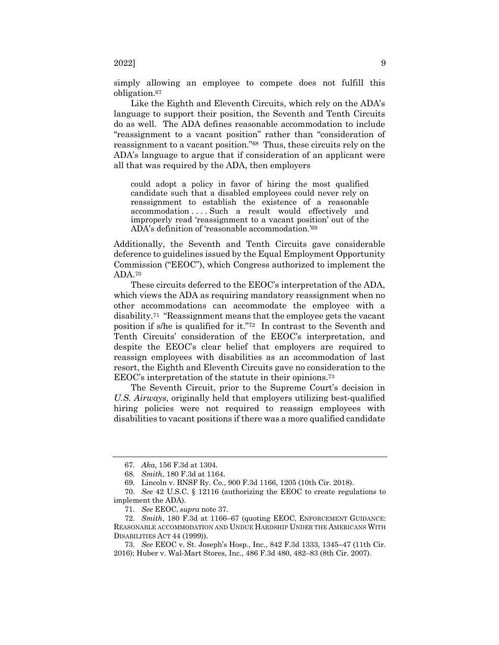simply allowing an employee to compete does not fulfill this obligation.67

Like the Eighth and Eleventh Circuits, which rely on the ADA's language to support their position, the Seventh and Tenth Circuits do as well. The ADA defines reasonable accommodation to include "reassignment to a vacant position" rather than "consideration of reassignment to a vacant position."68 Thus, these circuits rely on the ADA's language to argue that if consideration of an applicant were all that was required by the ADA, then employers

could adopt a policy in favor of hiring the most qualified candidate such that a disabled employees could never rely on reassignment to establish the existence of a reasonable accommodation . . . . Such a result would effectively and improperly read 'reassignment to a vacant position' out of the ADA's definition of 'reasonable accommodation.'69

Additionally, the Seventh and Tenth Circuits gave considerable deference to guidelines issued by the Equal Employment Opportunity Commission ("EEOC"), which Congress authorized to implement the ADA.70

These circuits deferred to the EEOC's interpretation of the ADA, which views the ADA as requiring mandatory reassignment when no other accommodations can accommodate the employee with a disability.71 "Reassignment means that the employee gets the vacant position if s/he is qualified for it."72 In contrast to the Seventh and Tenth Circuits' consideration of the EEOC's interpretation, and despite the EEOC's clear belief that employers are required to reassign employees with disabilities as an accommodation of last resort, the Eighth and Eleventh Circuits gave no consideration to the EEOC's interpretation of the statute in their opinions.73

The Seventh Circuit, prior to the Supreme Court's decision in *U.S. Airways*, originally held that employers utilizing best-qualified hiring policies were not required to reassign employees with disabilities to vacant positions if there was a more qualified candidate

<sup>67</sup>*. Aka*, 156 F.3d at 1304.

<sup>68</sup>*. Smith*, 180 F.3d at 1164.

<sup>69.</sup> Lincoln v. BNSF Ry. Co., 900 F.3d 1166, 1205 (10th Cir. 2018).

<sup>70.</sup> *See* 42 U.S.C. § 12116 (authorizing the EEOC to create regulations to implement the ADA).

<sup>71.</sup> *See* EEOC, *supra* note 37.

<sup>72.</sup> *Smith*, 180 F.3d at 1166–67 (quoting EEOC, ENFORCEMENT GUIDANCE: REASONABLE ACCOMMODATION AND UNDUE HARDSHIP UNDER THE AMERICANS WITH DISABILITIES ACT 44 (1999)).

<sup>73.</sup> *See* EEOC v. St. Joseph's Hosp., Inc., 842 F.3d 1333, 1345–47 (11th Cir. 2016); Huber v. Wal-Mart Stores, Inc., 486 F.3d 480, 482–83 (8th Cir. 2007).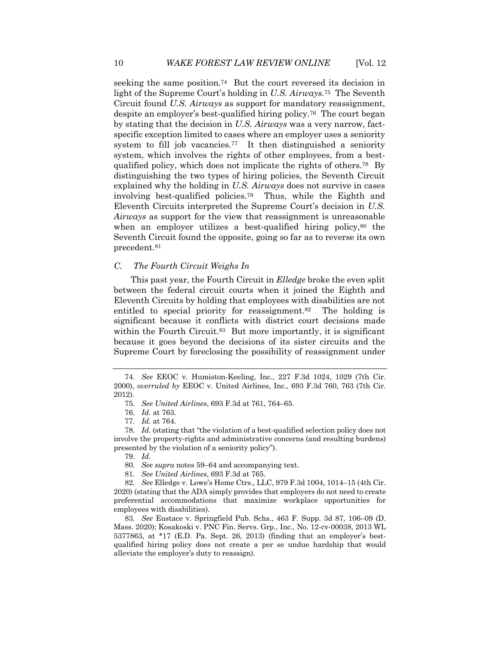seeking the same position.74 But the court reversed its decision in light of the Supreme Court's holding in *U.S. Airways.*75 The Seventh Circuit found *U.S. Airways* as support for mandatory reassignment, despite an employer's best-qualified hiring policy.76 The court began by stating that the decision in *U.S. Airways* was a very narrow, factspecific exception limited to cases where an employer uses a seniority system to fill job vacancies.<sup>77</sup> It then distinguished a seniority system, which involves the rights of other employees, from a bestqualified policy, which does not implicate the rights of others.78 By distinguishing the two types of hiring policies, the Seventh Circuit explained why the holding in *U.S. Airways* does not survive in cases involving best-qualified policies.79 Thus, while the Eighth and Eleventh Circuits interpreted the Supreme Court's decision in *U.S. Airways* as support for the view that reassignment is unreasonable when an employer utilizes a best-qualified hiring policy,<sup>80</sup> the Seventh Circuit found the opposite, going so far as to reverse its own precedent.81

#### *C. The Fourth Circuit Weighs In*

This past year, the Fourth Circuit in *Elledge* broke the even split between the federal circuit courts when it joined the Eighth and Eleventh Circuits by holding that employees with disabilities are not entitled to special priority for reassignment.<sup>82</sup> The holding is significant because it conflicts with district court decisions made within the Fourth Circuit.<sup>83</sup> But more importantly, it is significant because it goes beyond the decisions of its sister circuits and the Supreme Court by foreclosing the possibility of reassignment under

79. *Id.*

<sup>74.</sup> *See* EEOC v. Humiston-Keeling, Inc., 227 F.3d 1024, 1029 (7th Cir. 2000), *overruled by* EEOC v. United Airlines, Inc., 693 F.3d 760, 763 (7th Cir. 2012).

<sup>75.</sup> *See United Airlines*, 693 F.3d at 761, 764–65.

<sup>76.</sup> *Id.* at 763.

<sup>77.</sup> *Id.* at 764.

<sup>78.</sup> *Id.* (stating that "the violation of a best-qualified selection policy does not involve the property-rights and administrative concerns (and resulting burdens) presented by the violation of a seniority policy").

<sup>80</sup>*. See supra* notes 59–64 and accompanying text.

<sup>81</sup>*. See United Airlines*, 693 F.3d at 765.

<sup>82</sup>*. See* Elledge v. Lowe's Home Ctrs., LLC, 979 F.3d 1004, 1014–15 (4th Cir. 2020) (stating that the ADA simply provides that employers do not need to create preferential accommodations that maximize workplace opportunities for employees with disabilities).

<sup>83</sup>*. See* Eustace v. Springfield Pub. Schs., 463 F. Supp. 3d 87, 106–09 (D. Mass. 2020); Kosakoski v. PNC Fin. Servs. Grp., Inc., No. 12-cv-00038, 2013 WL 5377863, at \*17 (E.D. Pa. Sept. 26, 2013) (finding that an employer's bestqualified hiring policy does not create a per se undue hardship that would alleviate the employer's duty to reassign).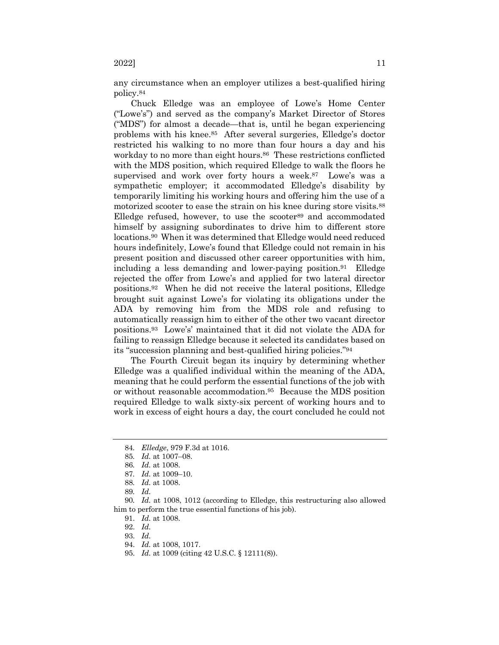any circumstance when an employer utilizes a best-qualified hiring policy.84

Chuck Elledge was an employee of Lowe's Home Center ("Lowe's") and served as the company's Market Director of Stores ("MDS") for almost a decade—that is, until he began experiencing problems with his knee.85 After several surgeries, Elledge's doctor restricted his walking to no more than four hours a day and his workday to no more than eight hours.<sup>86</sup> These restrictions conflicted with the MDS position, which required Elledge to walk the floors he supervised and work over forty hours a week.<sup>87</sup> Lowe's was a sympathetic employer; it accommodated Elledge's disability by temporarily limiting his working hours and offering him the use of a motorized scooter to ease the strain on his knee during store visits.88 Elledge refused, however, to use the scooter<sup>89</sup> and accommodated himself by assigning subordinates to drive him to different store locations.90 When it was determined that Elledge would need reduced hours indefinitely, Lowe's found that Elledge could not remain in his present position and discussed other career opportunities with him, including a less demanding and lower-paying position.91 Elledge rejected the offer from Lowe's and applied for two lateral director positions.92 When he did not receive the lateral positions, Elledge brought suit against Lowe's for violating its obligations under the ADA by removing him from the MDS role and refusing to automatically reassign him to either of the other two vacant director positions.93 Lowe's' maintained that it did not violate the ADA for failing to reassign Elledge because it selected its candidates based on its "succession planning and best-qualified hiring policies."94

The Fourth Circuit began its inquiry by determining whether Elledge was a qualified individual within the meaning of the ADA, meaning that he could perform the essential functions of the job with or without reasonable accommodation.95 Because the MDS position required Elledge to walk sixty-six percent of working hours and to work in excess of eight hours a day, the court concluded he could not

85*. Id.* at 1007–08.

91. *Id.* at 1008.

- 93. *Id.*
- 94. *Id.* at 1008, 1017.
- 95. *Id.* at 1009 (citing 42 U.S.C. § 12111(8)).

<sup>84</sup>*. Elledge*, 979 F.3d at 1016.

<sup>86</sup>*. Id.* at 1008.

<sup>87</sup>*. Id.* at 1009–10.

<sup>88</sup>*. Id.* at 1008.

<sup>89</sup>*. Id.*

<sup>90</sup>*. Id.* at 1008, 1012 (according to Elledge, this restructuring also allowed him to perform the true essential functions of his job).

<sup>92.</sup> *Id.*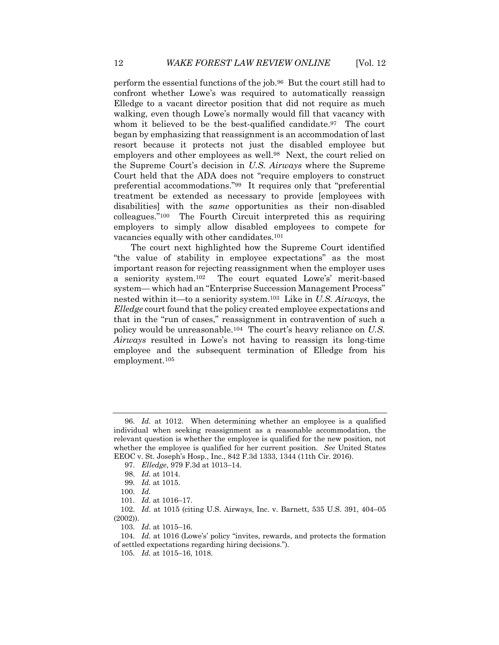perform the essential functions of the job.96 But the court still had to confront whether Lowe's was required to automatically reassign Elledge to a vacant director position that did not require as much walking, even though Lowe's normally would fill that vacancy with whom it believed to be the best-qualified candidate.<sup>97</sup> The court began by emphasizing that reassignment is an accommodation of last resort because it protects not just the disabled employee but employers and other employees as well.98 Next, the court relied on the Supreme Court's decision in *U.S. Airways* where the Supreme Court held that the ADA does not "require employers to construct preferential accommodations."99 It requires only that "preferential treatment be extended as necessary to provide [employees with disabilities] with the *same* opportunities as their non-disabled colleagues."100 The Fourth Circuit interpreted this as requiring employers to simply allow disabled employees to compete for vacancies equally with other candidates.101

The court next highlighted how the Supreme Court identified "the value of stability in employee expectations" as the most important reason for rejecting reassignment when the employer uses a seniority system.102 The court equated Lowe's' merit-based system— which had an "Enterprise Succession Management Process" nested within it—to a seniority system.103 Like in *U.S. Airways*, the *Elledge* court found that the policy created employee expectations and that in the "run of cases," reassignment in contravention of such a policy would be unreasonable.104 The court's heavy reliance on *U.S. Airways* resulted in Lowe's not having to reassign its long-time employee and the subsequent termination of Elledge from his employment.105

101. *Id.* at 1016–17.

102. *Id.* at 1015 (citing U.S. Airways, Inc. v. Barnett, 535 U.S. 391, 404–05 (2002)).

103. *Id*. at 1015–16.

<sup>96.</sup> *Id.* at 1012. When determining whether an employee is a qualified individual when seeking reassignment as a reasonable accommodation, the relevant question is whether the employee is qualified for the new position, not whether the employee is qualified for her current position. *See* United States EEOC v. St. Joseph's Hosp., Inc., 842 F.3d 1333, 1344 (11th Cir. 2016).

<sup>97.</sup> *Elledge*, 979 F.3d at 1013–14.

<sup>98.</sup> *Id.* at 1014.

<sup>99.</sup> *Id.* at 1015.

<sup>100.</sup> *Id.*

<sup>104.</sup> *Id.* at 1016 (Lowe's' policy "invites, rewards, and protects the formation of settled expectations regarding hiring decisions.").

<sup>105.</sup> *Id.* at 1015–16, 1018.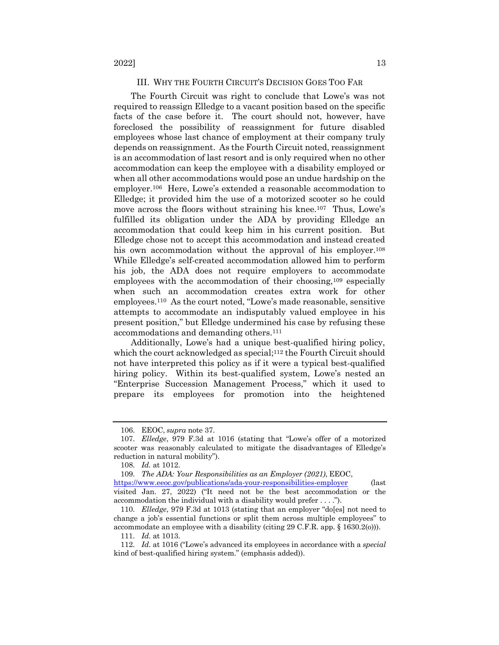#### III. WHY THE FOURTH CIRCUIT'S DECISION GOES TOO FAR

The Fourth Circuit was right to conclude that Lowe's was not required to reassign Elledge to a vacant position based on the specific facts of the case before it. The court should not, however, have foreclosed the possibility of reassignment for future disabled employees whose last chance of employment at their company truly depends on reassignment. As the Fourth Circuit noted, reassignment is an accommodation of last resort and is only required when no other accommodation can keep the employee with a disability employed or when all other accommodations would pose an undue hardship on the employer.106 Here, Lowe's extended a reasonable accommodation to Elledge; it provided him the use of a motorized scooter so he could move across the floors without straining his knee.<sup>107</sup> Thus, Lowe's fulfilled its obligation under the ADA by providing Elledge an accommodation that could keep him in his current position. But Elledge chose not to accept this accommodation and instead created his own accommodation without the approval of his employer.<sup>108</sup> While Elledge's self-created accommodation allowed him to perform his job, the ADA does not require employers to accommodate employees with the accommodation of their choosing,109 especially when such an accommodation creates extra work for other employees.110 As the court noted, "Lowe's made reasonable, sensitive attempts to accommodate an indisputably valued employee in his present position," but Elledge undermined his case by refusing these accommodations and demanding others.111

Additionally, Lowe's had a unique best-qualified hiring policy, which the court acknowledged as special;<sup>112</sup> the Fourth Circuit should not have interpreted this policy as if it were a typical best-qualified hiring policy. Within its best-qualified system, Lowe's nested an "Enterprise Succession Management Process," which it used to prepare its employees for promotion into the heightened

<sup>106.</sup> EEOC, *supra* note 37.

<sup>107.</sup> *Elledge*, 979 F.3d at 1016 (stating that "Lowe's offer of a motorized scooter was reasonably calculated to mitigate the disadvantages of Elledge's reduction in natural mobility").

<sup>108.</sup> *Id.* at 1012.

<sup>109.</sup> *The ADA: Your Responsibilities as an Employer (2021)*, EEOC, https://www.eeoc.gov/publications/ada-your-responsibilities-employer (last visited Jan. 27, 2022) ("It need not be the best accommodation or the accommodation the individual with a disability would prefer . . . .").

<sup>110.</sup> *Elledge*, 979 F.3d at 1013 (stating that an employer "do[es] not need to change a job's essential functions or split them across multiple employees" to accommodate an employee with a disability (citing 29 C.F.R. app. § 1630.2(o))).

<sup>111.</sup> *Id.* at 1013.

<sup>112.</sup> *Id.* at 1016 ("Lowe's advanced its employees in accordance with a *special*  kind of best-qualified hiring system." (emphasis added)).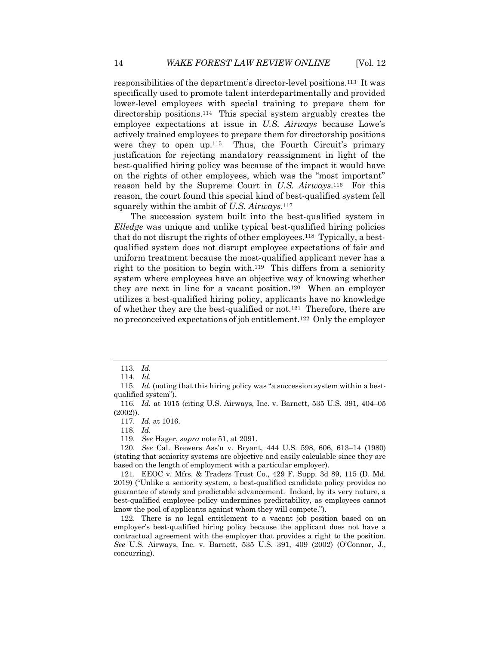responsibilities of the department's director-level positions.113 It was specifically used to promote talent interdepartmentally and provided lower-level employees with special training to prepare them for directorship positions.114 This special system arguably creates the employee expectations at issue in *U.S. Airways* because Lowe's actively trained employees to prepare them for directorship positions were they to open up.<sup>115</sup> Thus, the Fourth Circuit's primary justification for rejecting mandatory reassignment in light of the best-qualified hiring policy was because of the impact it would have on the rights of other employees, which was the "most important" reason held by the Supreme Court in *U.S. Airways*.116 For this reason, the court found this special kind of best-qualified system fell squarely within the ambit of *U.S. Airways*.117

The succession system built into the best-qualified system in *Elledge* was unique and unlike typical best-qualified hiring policies that do not disrupt the rights of other employees.118 Typically, a bestqualified system does not disrupt employee expectations of fair and uniform treatment because the most-qualified applicant never has a right to the position to begin with.119 This differs from a seniority system where employees have an objective way of knowing whether they are next in line for a vacant position.120 When an employer utilizes a best-qualified hiring policy, applicants have no knowledge of whether they are the best-qualified or not.121 Therefore, there are no preconceived expectations of job entitlement.122 Only the employer

118. *Id.*

119. *See* Hager, *supra* note 51, at 2091.

120. *See* Cal. Brewers Ass'n v. Bryant, 444 U.S. 598, 606, 613–14 (1980) (stating that seniority systems are objective and easily calculable since they are based on the length of employment with a particular employer).

121. EEOC v. Mfrs. & Traders Trust Co., 429 F. Supp. 3d 89, 115 (D. Md. 2019) ("Unlike a seniority system, a best-qualified candidate policy provides no guarantee of steady and predictable advancement. Indeed, by its very nature, a best-qualified employee policy undermines predictability, as employees cannot know the pool of applicants against whom they will compete.").

122. There is no legal entitlement to a vacant job position based on an employer's best-qualified hiring policy because the applicant does not have a contractual agreement with the employer that provides a right to the position. *See* U.S. Airways, Inc. v. Barnett, 535 U.S. 391, 409 (2002) (O'Connor, J., concurring).

<sup>113.</sup> *Id.*

<sup>114.</sup> *Id.*

<sup>115.</sup> *Id.* (noting that this hiring policy was "a succession system within a bestqualified system").

<sup>116.</sup> *Id.* at 1015 (citing U.S. Airways, Inc. v. Barnett, 535 U.S. 391, 404–05 (2002)).

<sup>117.</sup> *Id.* at 1016.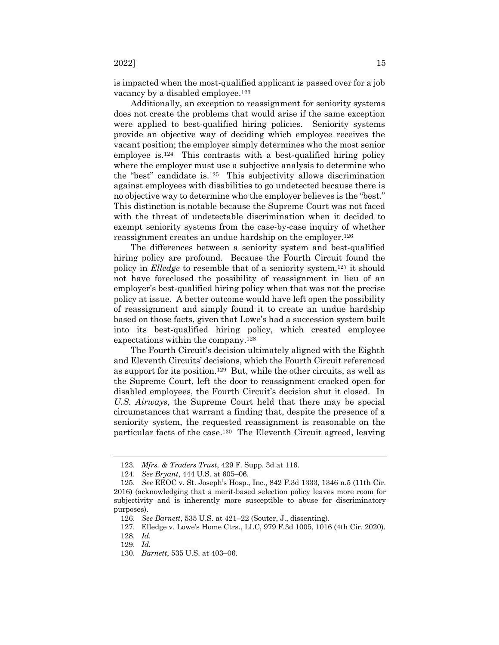is impacted when the most-qualified applicant is passed over for a job vacancy by a disabled employee.123

Additionally, an exception to reassignment for seniority systems does not create the problems that would arise if the same exception were applied to best-qualified hiring policies. Seniority systems provide an objective way of deciding which employee receives the vacant position; the employer simply determines who the most senior employee is.124 This contrasts with a best-qualified hiring policy where the employer must use a subjective analysis to determine who the "best" candidate is.125 This subjectivity allows discrimination against employees with disabilities to go undetected because there is no objective way to determine who the employer believes is the "best." This distinction is notable because the Supreme Court was not faced with the threat of undetectable discrimination when it decided to exempt seniority systems from the case-by-case inquiry of whether reassignment creates an undue hardship on the employer.126

The differences between a seniority system and best-qualified hiring policy are profound. Because the Fourth Circuit found the policy in *Elledge* to resemble that of a seniority system,<sup>127</sup> it should not have foreclosed the possibility of reassignment in lieu of an employer's best-qualified hiring policy when that was not the precise policy at issue. A better outcome would have left open the possibility of reassignment and simply found it to create an undue hardship based on those facts, given that Lowe's had a succession system built into its best-qualified hiring policy, which created employee expectations within the company.128

The Fourth Circuit's decision ultimately aligned with the Eighth and Eleventh Circuits' decisions, which the Fourth Circuit referenced as support for its position.129 But, while the other circuits, as well as the Supreme Court, left the door to reassignment cracked open for disabled employees, the Fourth Circuit's decision shut it closed. In *U.S. Airways*, the Supreme Court held that there may be special circumstances that warrant a finding that, despite the presence of a seniority system, the requested reassignment is reasonable on the particular facts of the case.130 The Eleventh Circuit agreed, leaving

<sup>123.</sup> *Mfrs. & Traders Trust*, 429 F. Supp. 3d at 116.

<sup>124.</sup> *See Bryant*, 444 U.S. at 605–06.

<sup>125.</sup> *See* EEOC v. St. Joseph's Hosp., Inc., 842 F.3d 1333, 1346 n.5 (11th Cir. 2016) (acknowledging that a merit-based selection policy leaves more room for subjectivity and is inherently more susceptible to abuse for discriminatory purposes).

<sup>126.</sup> *See Barnett*, 535 U.S. at 421–22 (Souter, J., dissenting).

<sup>127.</sup> Elledge v. Lowe's Home Ctrs., LLC, 979 F.3d 1005, 1016 (4th Cir. 2020).

<sup>128.</sup> *Id.*

<sup>129.</sup> *Id.*

<sup>130.</sup> *Barnett*, 535 U.S. at 403–06.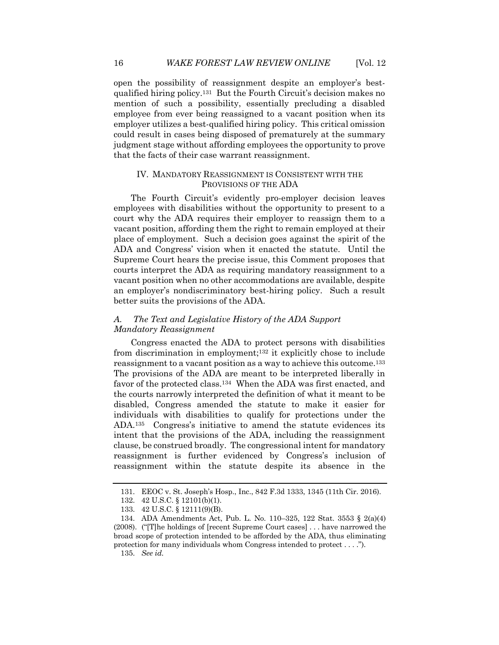open the possibility of reassignment despite an employer's bestqualified hiring policy.131 But the Fourth Circuit's decision makes no mention of such a possibility, essentially precluding a disabled employee from ever being reassigned to a vacant position when its employer utilizes a best-qualified hiring policy. This critical omission could result in cases being disposed of prematurely at the summary judgment stage without affording employees the opportunity to prove that the facts of their case warrant reassignment.

# IV. MANDATORY REASSIGNMENT IS CONSISTENT WITH THE PROVISIONS OF THE ADA

The Fourth Circuit's evidently pro-employer decision leaves employees with disabilities without the opportunity to present to a court why the ADA requires their employer to reassign them to a vacant position, affording them the right to remain employed at their place of employment. Such a decision goes against the spirit of the ADA and Congress' vision when it enacted the statute. Until the Supreme Court hears the precise issue, this Comment proposes that courts interpret the ADA as requiring mandatory reassignment to a vacant position when no other accommodations are available, despite an employer's nondiscriminatory best-hiring policy. Such a result better suits the provisions of the ADA.

# *A. The Text and Legislative History of the ADA Support Mandatory Reassignment*

Congress enacted the ADA to protect persons with disabilities from discrimination in employment;132 it explicitly chose to include reassignment to a vacant position as a way to achieve this outcome.133 The provisions of the ADA are meant to be interpreted liberally in favor of the protected class.134 When the ADA was first enacted, and the courts narrowly interpreted the definition of what it meant to be disabled, Congress amended the statute to make it easier for individuals with disabilities to qualify for protections under the ADA.135 Congress's initiative to amend the statute evidences its intent that the provisions of the ADA, including the reassignment clause, be construed broadly. The congressional intent for mandatory reassignment is further evidenced by Congress's inclusion of reassignment within the statute despite its absence in the

<sup>131.</sup> EEOC v. St. Joseph's Hosp., Inc., 842 F.3d 1333, 1345 (11th Cir. 2016).

<sup>132.</sup> 42 U.S.C. § 12101(b)(1).

<sup>133.</sup> 42 U.S.C. § 12111(9)(B).

<sup>134.</sup> ADA Amendments Act, Pub. L. No. 110–325, 122 Stat. 3553 § 2(a)(4) (2008). ("[T]he holdings of [recent Supreme Court cases] . . . have narrowed the broad scope of protection intended to be afforded by the ADA, thus eliminating protection for many individuals whom Congress intended to protect . . . ."). 135. *See id.*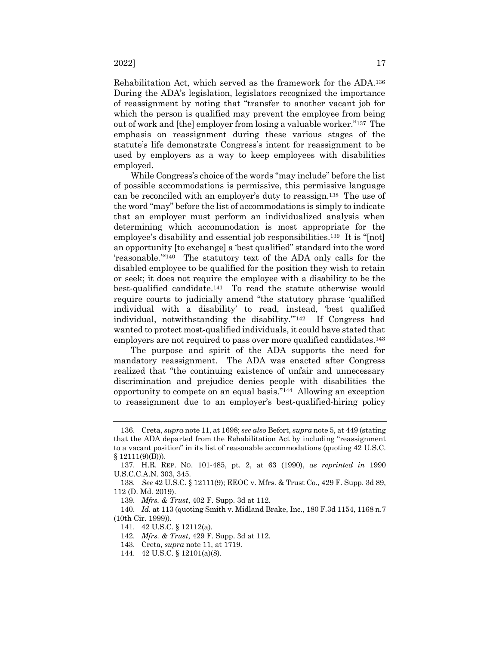Rehabilitation Act, which served as the framework for the ADA.136 During the ADA's legislation, legislators recognized the importance of reassignment by noting that "transfer to another vacant job for which the person is qualified may prevent the employee from being out of work and [the] employer from losing a valuable worker."137 The emphasis on reassignment during these various stages of the statute's life demonstrate Congress's intent for reassignment to be used by employers as a way to keep employees with disabilities employed.

While Congress's choice of the words "may include" before the list of possible accommodations is permissive, this permissive language can be reconciled with an employer's duty to reassign.138 The use of the word "may" before the list of accommodations is simply to indicate that an employer must perform an individualized analysis when determining which accommodation is most appropriate for the employee's disability and essential job responsibilities.139 It is "[not] an opportunity [to exchange] a 'best qualified" standard into the word 'reasonable.'"140 The statutory text of the ADA only calls for the disabled employee to be qualified for the position they wish to retain or seek; it does not require the employee with a disability to be the best-qualified candidate.141 To read the statute otherwise would require courts to judicially amend "the statutory phrase 'qualified individual with a disability' to read, instead, 'best qualified individual, notwithstanding the disability.'"142 If Congress had wanted to protect most-qualified individuals, it could have stated that employers are not required to pass over more qualified candidates.<sup>143</sup>

The purpose and spirit of the ADA supports the need for mandatory reassignment. The ADA was enacted after Congress realized that "the continuing existence of unfair and unnecessary discrimination and prejudice denies people with disabilities the opportunity to compete on an equal basis."144 Allowing an exception to reassignment due to an employer's best-qualified-hiring policy

- 142. *Mfrs. & Trust*, 429 F. Supp. 3d at 112.
- 143. Creta, *supra* note 11, at 1719.

<sup>136.</sup> Creta, *supra* note 11, at 1698; *see also* Befort, *supra* note 5, at 449 (stating that the ADA departed from the Rehabilitation Act by including "reassignment to a vacant position" in its list of reasonable accommodations (quoting 42 U.S.C.  $§ 12111(9)(B))$ .

<sup>137.</sup> H.R. REP. NO. 101-485, pt. 2, at 63 (1990), *as reprinted in* 1990 U.S.C.C.A.N. 303, 345.

<sup>138.</sup> *See* 42 U.S.C. § 12111(9); EEOC v. Mfrs. & Trust Co., 429 F. Supp. 3d 89, 112 (D. Md. 2019).

<sup>139.</sup> *Mfrs. & Trust*, 402 F. Supp. 3d at 112.

<sup>140.</sup> *Id.* at 113 (quoting Smith v. Midland Brake, Inc., 180 F.3d 1154, 1168 n.7 (10th Cir. 1999)).

<sup>141.</sup> 42 U.S.C. § 12112(a).

<sup>144.</sup> 42 U.S.C. § 12101(a)(8).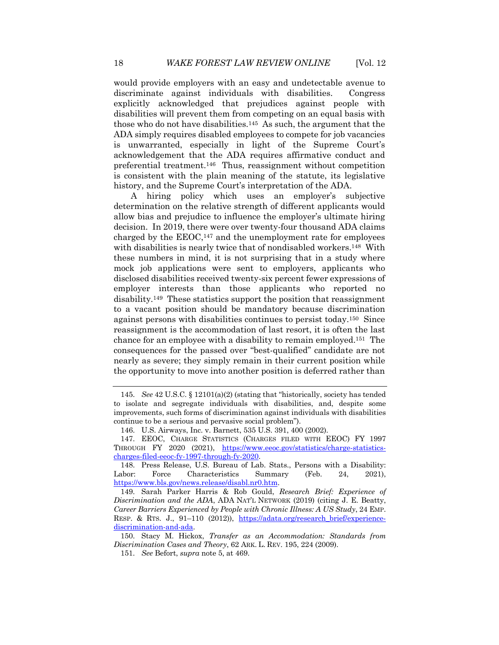would provide employers with an easy and undetectable avenue to discriminate against individuals with disabilities. Congress explicitly acknowledged that prejudices against people with disabilities will prevent them from competing on an equal basis with those who do not have disabilities.145 As such, the argument that the ADA simply requires disabled employees to compete for job vacancies is unwarranted, especially in light of the Supreme Court's acknowledgement that the ADA requires affirmative conduct and preferential treatment.146 Thus, reassignment without competition is consistent with the plain meaning of the statute, its legislative history, and the Supreme Court's interpretation of the ADA.

A hiring policy which uses an employer's subjective determination on the relative strength of different applicants would allow bias and prejudice to influence the employer's ultimate hiring decision. In 2019, there were over twenty-four thousand ADA claims charged by the  $EEOC$ ,<sup>147</sup> and the unemployment rate for employees with disabilities is nearly twice that of nondisabled workers.148 With these numbers in mind, it is not surprising that in a study where mock job applications were sent to employers, applicants who disclosed disabilities received twenty-six percent fewer expressions of employer interests than those applicants who reported no disability.149 These statistics support the position that reassignment to a vacant position should be mandatory because discrimination against persons with disabilities continues to persist today.150 Since reassignment is the accommodation of last resort, it is often the last chance for an employee with a disability to remain employed.151 The consequences for the passed over "best-qualified" candidate are not nearly as severe; they simply remain in their current position while the opportunity to move into another position is deferred rather than

<sup>145.</sup> *See* 42 U.S.C. § 12101(a)(2) (stating that "historically, society has tended to isolate and segregate individuals with disabilities, and, despite some improvements, such forms of discrimination against individuals with disabilities continue to be a serious and pervasive social problem").

<sup>146.</sup> U.S. Airways, Inc. v. Barnett, 535 U.S. 391, 400 (2002).

<sup>147.</sup> EEOC, CHARGE STATISTICS (CHARGES FILED WITH EEOC) FY 1997 THROUGH FY 2020 (2021), https://www.eeoc.gov/statistics/charge-statisticscharges-filed-eeoc-fy-1997-through-fy-2020.

<sup>148.</sup> Press Release, U.S. Bureau of Lab. Stats., Persons with a Disability: Labor: Force Characteristics Summary (Feb. 24, 2021), https://www.bls.gov/news.release/disabl.nr0.htm.

<sup>149.</sup> Sarah Parker Harris & Rob Gould, *Research Brief: Experience of Discrimination and the ADA*, ADA NAT'L NETWORK (2019) (citing J. E. Beatty, *Career Barriers Experienced by People with Chronic Illness: A US Study*, 24 EMP. RESP. & RTS. J., 91–110 (2012)), https://adata.org/research\_brief/experiencediscrimination-and-ada.

<sup>150.</sup> Stacy M. Hickox, *Transfer as an Accommodation: Standards from Discrimination Cases and Theory*, 62 ARK. L. REV. 195, 224 (2009).

<sup>151.</sup> *See* Befort, *supra* note 5, at 469.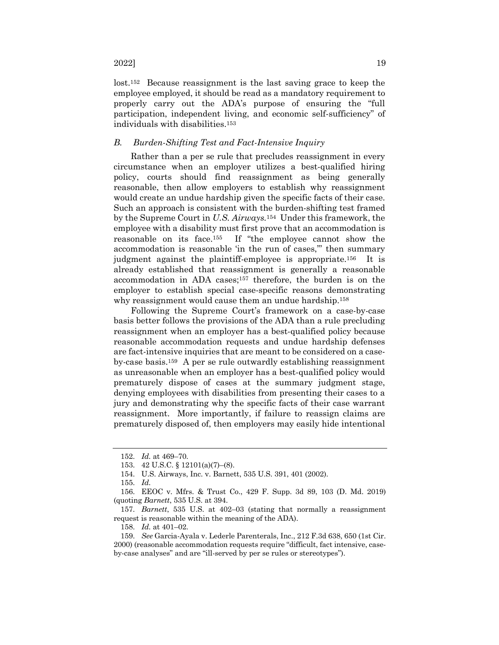lost.152 Because reassignment is the last saving grace to keep the employee employed, it should be read as a mandatory requirement to properly carry out the ADA's purpose of ensuring the "full participation, independent living, and economic self-sufficiency" of individuals with disabilities.153

# *B. Burden-Shifting Test and Fact-Intensive Inquiry*

Rather than a per se rule that precludes reassignment in every circumstance when an employer utilizes a best-qualified hiring policy, courts should find reassignment as being generally reasonable, then allow employers to establish why reassignment would create an undue hardship given the specific facts of their case. Such an approach is consistent with the burden-shifting test framed by the Supreme Court in *U.S. Airways.*154 Under this framework, the employee with a disability must first prove that an accommodation is reasonable on its face.155 If "the employee cannot show the accommodation is reasonable 'in the run of cases,'" then summary judgment against the plaintiff-employee is appropriate.<sup>156</sup> It is already established that reassignment is generally a reasonable accommodation in ADA cases;157 therefore, the burden is on the employer to establish special case-specific reasons demonstrating why reassignment would cause them an undue hardship.<sup>158</sup>

Following the Supreme Court's framework on a case-by-case basis better follows the provisions of the ADA than a rule precluding reassignment when an employer has a best-qualified policy because reasonable accommodation requests and undue hardship defenses are fact-intensive inquiries that are meant to be considered on a caseby-case basis.159 A per se rule outwardly establishing reassignment as unreasonable when an employer has a best-qualified policy would prematurely dispose of cases at the summary judgment stage, denying employees with disabilities from presenting their cases to a jury and demonstrating why the specific facts of their case warrant reassignment. More importantly, if failure to reassign claims are prematurely disposed of, then employers may easily hide intentional

158. *Id.* at 401–02.

<sup>152.</sup> *Id.* at 469–70.

<sup>153.</sup> 42 U.S.C. § 12101(a)(7)–(8).

<sup>154.</sup> U.S. Airways, Inc. v. Barnett, 535 U.S. 391, 401 (2002).

<sup>155.</sup> *Id.*

<sup>156.</sup> EEOC v. Mfrs. & Trust Co., 429 F. Supp. 3d 89, 103 (D. Md. 2019) (quoting *Barnett*, 535 U.S. at 394.

<sup>157.</sup> *Barnett*, 535 U.S. at 402–03 (stating that normally a reassignment request is reasonable within the meaning of the ADA).

<sup>159.</sup> *See* Garcia-Ayala v. Lederle Parenterals, Inc., 212 F.3d 638, 650 (1st Cir. 2000) (reasonable accommodation requests require "difficult, fact intensive, caseby-case analyses" and are "ill-served by per se rules or stereotypes").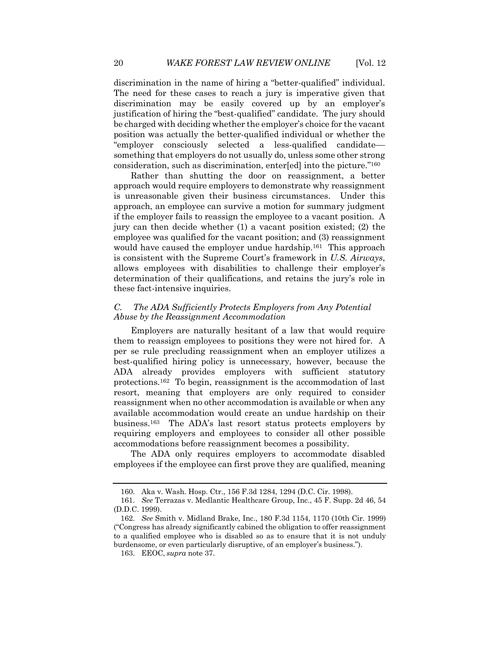discrimination in the name of hiring a "better-qualified" individual. The need for these cases to reach a jury is imperative given that discrimination may be easily covered up by an employer's justification of hiring the "best-qualified" candidate. The jury should be charged with deciding whether the employer's choice for the vacant position was actually the better-qualified individual or whether the "employer consciously selected a less-qualified candidate–– something that employers do not usually do, unless some other strong consideration, such as discrimination, enter[ed] into the picture."160

Rather than shutting the door on reassignment, a better approach would require employers to demonstrate why reassignment is unreasonable given their business circumstances. Under this approach, an employee can survive a motion for summary judgment if the employer fails to reassign the employee to a vacant position. A jury can then decide whether (1) a vacant position existed; (2) the employee was qualified for the vacant position; and (3) reassignment would have caused the employer undue hardship.<sup>161</sup> This approach is consistent with the Supreme Court's framework in *U.S. Airways*, allows employees with disabilities to challenge their employer's determination of their qualifications, and retains the jury's role in these fact-intensive inquiries.

# *C. The ADA Sufficiently Protects Employers from Any Potential Abuse by the Reassignment Accommodation*

Employers are naturally hesitant of a law that would require them to reassign employees to positions they were not hired for. A per se rule precluding reassignment when an employer utilizes a best-qualified hiring policy is unnecessary, however, because the ADA already provides employers with sufficient statutory protections.162 To begin, reassignment is the accommodation of last resort, meaning that employers are only required to consider reassignment when no other accommodation is available or when any available accommodation would create an undue hardship on their business.163 The ADA's last resort status protects employers by requiring employers and employees to consider all other possible accommodations before reassignment becomes a possibility.

The ADA only requires employers to accommodate disabled employees if the employee can first prove they are qualified, meaning

<sup>160.</sup> Aka v. Wash. Hosp. Ctr., 156 F.3d 1284, 1294 (D.C. Cir. 1998).

<sup>161.</sup> *See* Terrazas v. Medlantic Healthcare Group, Inc., 45 F. Supp. 2d 46, 54 (D.D.C. 1999).

<sup>162.</sup> *See* Smith v. Midland Brake, Inc., 180 F.3d 1154, 1170 (10th Cir. 1999) ("Congress has already significantly cabined the obligation to offer reassignment to a qualified employee who is disabled so as to ensure that it is not unduly burdensome, or even particularly disruptive, of an employer's business.").

<sup>163.</sup> EEOC, *supra* note 37.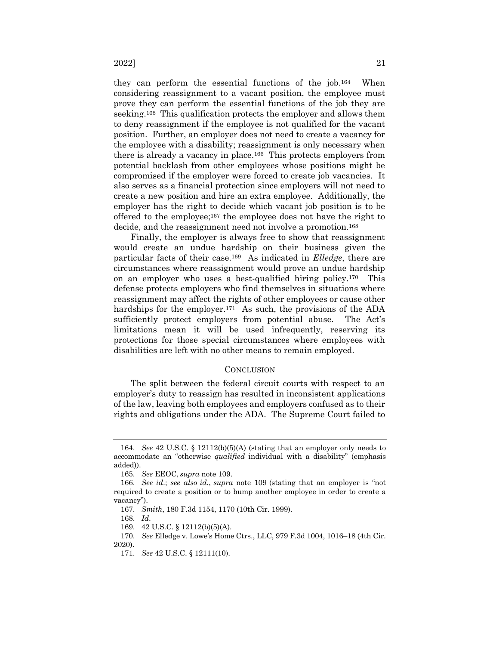they can perform the essential functions of the job.164 When considering reassignment to a vacant position, the employee must prove they can perform the essential functions of the job they are seeking.165 This qualification protects the employer and allows them to deny reassignment if the employee is not qualified for the vacant position. Further, an employer does not need to create a vacancy for the employee with a disability; reassignment is only necessary when there is already a vacancy in place.166 This protects employers from potential backlash from other employees whose positions might be compromised if the employer were forced to create job vacancies. It also serves as a financial protection since employers will not need to create a new position and hire an extra employee. Additionally, the employer has the right to decide which vacant job position is to be offered to the employee;167 the employee does not have the right to decide, and the reassignment need not involve a promotion.<sup>168</sup>

Finally, the employer is always free to show that reassignment would create an undue hardship on their business given the particular facts of their case.169 As indicated in *Elledge*, there are circumstances where reassignment would prove an undue hardship on an employer who uses a best-qualified hiring policy.170 This defense protects employers who find themselves in situations where reassignment may affect the rights of other employees or cause other hardships for the employer.<sup>171</sup> As such, the provisions of the ADA sufficiently protect employers from potential abuse. The Act's limitations mean it will be used infrequently, reserving its protections for those special circumstances where employees with disabilities are left with no other means to remain employed.

#### **CONCLUSION**

The split between the federal circuit courts with respect to an employer's duty to reassign has resulted in inconsistent applications of the law, leaving both employees and employers confused as to their rights and obligations under the ADA. The Supreme Court failed to

<sup>164.</sup> *See* 42 U.S.C. § 12112(b)(5)(A) (stating that an employer only needs to accommodate an "otherwise *qualified* individual with a disability" (emphasis added)).

<sup>165.</sup> *See* EEOC, *supra* note 109.

<sup>166.</sup> *See id*.; *see also id.*, *supra* note 109 (stating that an employer is "not required to create a position or to bump another employee in order to create a vacancy").

<sup>167.</sup> *Smith*, 180 F.3d 1154, 1170 (10th Cir. 1999).

<sup>168.</sup> *Id*.

<sup>169.</sup> 42 U.S.C. § 12112(b)(5)(A).

<sup>170.</sup> *See* Elledge v. Lowe's Home Ctrs., LLC, 979 F.3d 1004, 1016–18 (4th Cir. 2020).

<sup>171.</sup> *See* 42 U.S.C. § 12111(10).